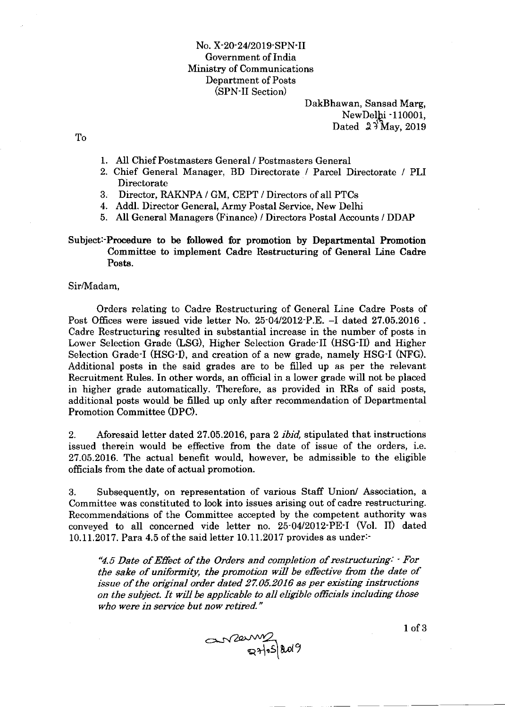No. X-20-24/2019-SPN-II Government of India Ministry of Communications Department of Posts (SPN-II Section)

> DakBhawan, Sansad Marg, NewDelhi -110001, Dated  $2\frac{3}{\text{May}}$ , 2019

To

- 1. All Chief Postmasters General / Postmasters General
- 2. Chief General Manager, BD Directorate / Parcel Directorate / PLI Directorate
- 3. Director, RAKNPA / GM, CEPT / Directors of all PTCg
- 4. Addl. Director General, Army Postal Service, New Delhi
- 5. All General Managers (Finance) / Directors Postal Accounts / DDAP

#### Subject:-Procedure to be followed for promotion by Departmental Promotion Committee to implement Cadre Regtructuring of General Line Cadre Posts.

#### Sir/Madam,

Orders relating to Cadre Restructuring of General Line Cadre Posts of Post Offices were issued vide letter No. 25-04/2012-P.E. -I dated 27.05.2016. Cadre Restructuring resulted in substantial increase in the number of posts in Lower Selection Grade (LSG), Higher Selection Grade-II (HSG-II) and Higher Selection Grade-I (HSG'I), and creation of a new grade, namely HSG-I (NFG). Additional posts in the said grades are to be filled up as per the relevant Recruitment Rules. In other words, an official in a lower grade will not be placed in higher grade automatically. Therefore, as provided in RRs of said posts, additional posts would be filled up only after recommendation of Departmental Promotion Committee (DPC).

2. Aforesaid letter dated 27.05.2016, para 2 ibid, stipulated that instructions issued therein would be effective from the date of issue of the orders, i.e. 27.05.2016. The actual benefit would, however, be admissible to the eligible officials from the date of actual promotion.

3. Subsequently, on representation of various Staff Union/ Association, <sup>a</sup> Committee was constituted to look into issues arising out of cadre restructuring. Recommenddtions of the Committee accepted by the competent authority was conveyed to all concerned vide letter no. 25-O4I2OL2'PE-I (Vol. II) dated 10.11.2017. Para 4.5 of the said letter 10.11.2017 provides as under:-

'4.5 Date of Effect of the Orders and completion of restructuring: ' For the sake of uniformity, the promotion will be effective from the date of issue of the original order dated 27.05.2016 as per existing instructions on the subject. It will be applicable to all eligible officials including those who were in service but now retired."



l of 3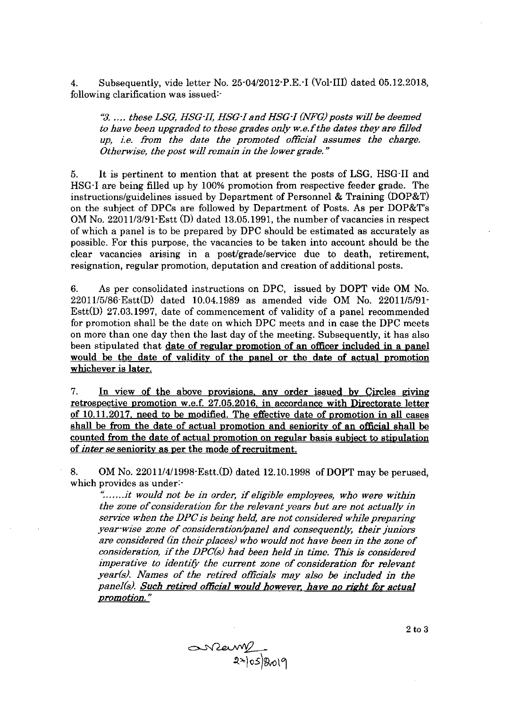4. Subsequently, vide letter No. 25-04/2012-P.E. I (Vol-III) dated 05.12.2018, following clarification was issued:'

3. .... these LSG, HSG-II, IISG-I and HSG-I (NFG) posts will be deemed to have been upgraded to these grades only w.e.f the dates they are filled  $up$ , i.e. from the date the promoted official assumes the charge. Otherwise, the post will remain in the lower grade."

5. It is pertinent to mention that at present the posts of LSG, HSG-II and HSG-I are being filled up by 100% promotion from respective feeder grade. The instructions/guidelines issued by Department of Personnel & Training (DOP&T) on the subject of DPCs are followed by Department of Posts. As per DOP&T's OM No.  $22011/3/91$  Estt (D) dated 13.05.1991, the number of vacancies in respect of which a panel is to be prepared by DPC should be estimated as accurately as possible. For this purpose, the vacancies to be taken into account should be the clear vacancies arising in a post/grade/service due to death, retirement, resignation, regular promotion, deputation and creation of additional posts.

6. As per consolidated instructions on DPC, issued by DOPT vide OM No.  $22011/5/86$ -Estt $(D)$  dated 10.04.1989 as amended vide OM No. 22011/5/91-Estt(D) 27.03.1997, date of commencement of validity of a panel recommended for promotion shall be the date on which DPC meets and in case the DPC meets on more than one day then the last day of the meeting. Subsequently, it has also been stipulated that date of regular promotion of an officer included in a panel would be the date of validity of the panel or the date of actual promotion whichever is later.

7. In view of the above provisions, any order issued by Circles giving retrospective promotion w.e.f. 27.05.2016, in accordance with Directorate letter of  $10.11.2017$ , need to be modified. The effective date of promotion in all cases shall be from the date of actual promotion and seniority of an official shall be counted from the date of actual promotion on regular basis subject to stipulation of inter se seniority as per the mode of recruitment.

8. OM No. 22011/4/1998 Estt.(D) dated 12.10.1998 of DOPT may be perused, which provides as under:-

".......it would not be in order, if eligible employees, who were within the zone of consideration for the relevant years but are not actually in service when the DPC is being held, are not considered while preparing year-wise zone of consideration/panel and consequently, their juniors are considered (in their places) who would not have been in the zone of consideration, if the DPCG) had been held in time. This is considered imperative to identify the current zone of consideration for relevant year(s). Names of the retired officials may also be included in the panel(s). Such retired official would however, have no right for actual promotion."

2to3

 $S<sub>2</sub>$  an  $2$  and  $2$  and  $2$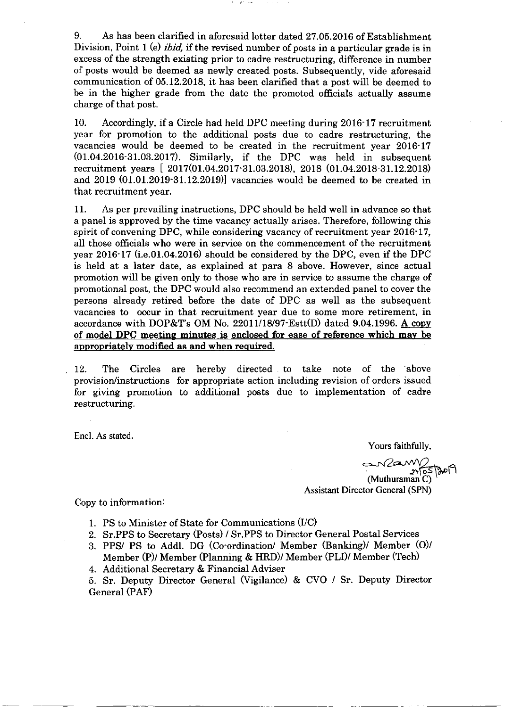9. As has been clarified in aforesaid letter dated 27.05.2016 of Establishment Division, Point 1 (e) *ibid*, if the revised number of posts in a particular grade is in excess of the strength existing prior to cadre restructuring, difference in number of posts would be deemed as newly created posts. Subsequently, vide aforesaid communication of 05.12.2018, it has been clarified that a post will be deemed to be in the higher grade from the date the promoted officials actually assume charge of that post.

10. Accordingly, if a Circle had held DPC meeting during 2016-17 recruitment year for promotion to the adfitional posts due to cadre restructuring, the vacancies would be deemed to be created in the recruitment year 2016.17  $(01.04.2016 \cdot 31.03.2017)$ . Similarly, if the DPC was held in subsequent recruitment years [ 2017(01.04.2017.31.03.2018), 2018 (01.04.2018.31.12.2018) and  $2019$   $(01.01.201931.12.2019)$  vacancies would be deemed to be created in that recruitment year.

11. As per prevailing instructions, DPC should be held well in advance so that a panel is approved by the time vacancy actually arises. Therefore, following this spirit of convening DPC, while considering vacancy of recruitment year 2016.17, all those officials who were in service on the commencement of the recruitment year  $2016 \cdot 17$  (i.e.01.04.2016) should be considered by the DPC, even if the DPC is held at a later date, as explained at para 8 above. However, since actual promotion wiII be given only to those who are in service to assume the charge of promotional post, the DPC would also recommend an extended panel to cover the persons already retired before the date of DPC as well as the subsequent vacancies to occur in that recruitment year due to some more retirement, in accordance with DOP&T's OM No. 22011/18/97  $\text{Est}(\mathcal{D})$  dated 9.04.1996. A copy of model DPC meeting minutes is enclosed for ease of reference which may be approoriatelv modified as and when reouired.

12. The Circles are hereby directed to take note of the above provision/instructions for appropriate action including revision of orders issued for giving promotion to additional posts due to implementation of cadre restructuring.

Encl. As stated.

Yours faithfully,

সৰ্ভুক্তা সি

(Muthuraman<sup>'</sup>C) Assistant Director General (SPN)

Copy to information:

- 1. PS to Minister of State for Communications (I/C)
- 2. ST.PPS to Secretary (Posts) / ST.PPS to Director General Postal Services
- 3. PPS/ PS to Addl. DG (Co-ordination/ Member (Banking)/ Member (O)/ Member (P)/ Member (Planning & HRD)/ Member (PLI)/ Member (Tech)
- 4. Additional Secretary & Financial Adviser

5. Sr. Deputy Director General (Vigilance) & CVO / Sr. Deputy Director General (PAF)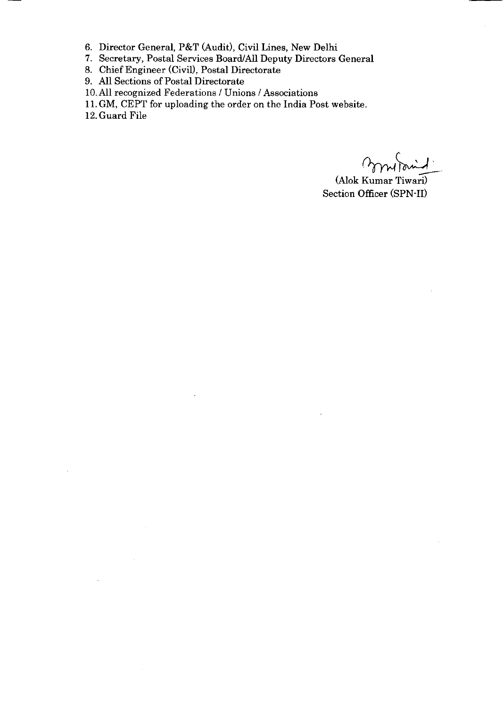- 6. Director General, P&T Gudit), Civil Lines, New Delhi
- 7. Secretary, Postal Services Board/All Deputy Directors General
- 8. Chief Engineer (Civil), Postal Directorate
- 9. All Sections of Postal Directorate
- 10. All recognized Federations / Unions / Associations
- l1.GM, CEPT for uploading the order on the India Post website.
- 12. Guard File

J.

mond.

(Alok Kumar Tiwari) Section Officer (SPN-II)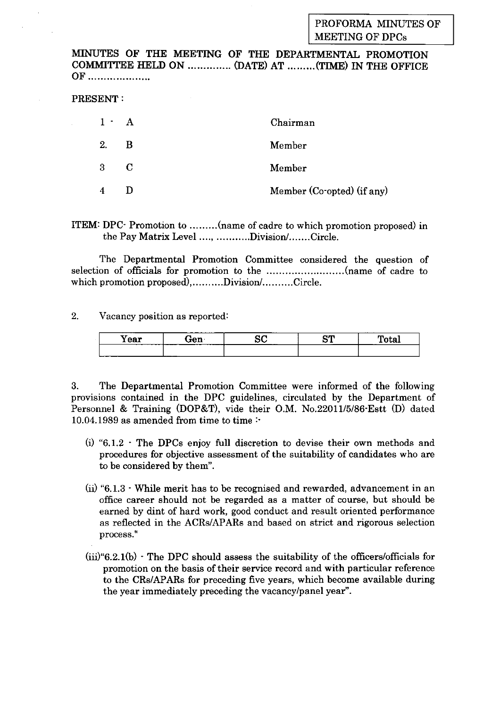## PROFORMA MINUTES OF MEETING OF DPCs

MINUTES OF THE MEETING OF TIIE DEPARTMENTAI PROMOTION COMMITTEE HELD ON .............. (DATE) AT .........(TIME) IN THE OFFICE OF

#### PRESENT:

| $1 - A$          |   | Chairman                   |
|------------------|---|----------------------------|
| 2.               | B | Member                     |
| $3 \quad C$      |   | Member                     |
| $\boldsymbol{4}$ |   | Member (Co-opted) (if any) |

ITEM: DPC- Promotion to .........(name of cadre to which promotion proposed) in the Pay Matrix Level ...., ...........Division/.......Circle.

The Departmental Promotion Committee considered the question of selection of officials for promotion to the .........................(name of cadre to which promotion proposed),..........Division/..........Circle.

2. Vacancy position as reported:

| –<br>$-$<br>Year | _______<br>ien<br>____<br>______<br>___ | aΩ<br>ov<br>----- | αm<br>--- | <b>STATE</b><br>uwa<br>. |
|------------------|-----------------------------------------|-------------------|-----------|--------------------------|
|                  | ____                                    |                   |           |                          |

3. The Departmental Promotion Committee were informed of the following provisions contained in the DPC guidelines, circulated by the Department of Personnel & Training (DOP&T), vide their O.M. No.22011/5/86-Estt (D) dated 10.04.1989 as amended from time to time  $\cdot$ 

- (i) " $6.1.2$   $\cdot$  The DPCs enjoy full discretion to devise their own methods and procedures for objective assessment of the suitability of candidates who are to be considered by them".
- $(i)$  "6.1.3  $\cdot$  While merit has to be recognised and rewarded, advancement in an offrce career should not be regarded as a matter of course, but should be earned by dint of hard work, good conduct and result oriented performance as reflected in the ACRs/APARs and based on strict and rigorous selection process."
- $(iii)$ "6.2.1(b)  $\cdot$  The DPC should assess the suitability of the officers/officials for promotion on the basis of their service record and with particular reference to the CRs/APARs for preceding five years, which become available during the year immediately preceding the vacancy/panel year".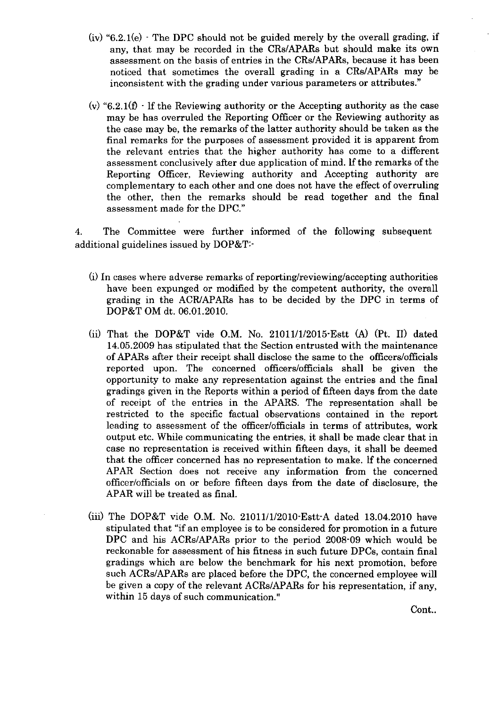- $(iv)$  "6.2.1(e)  $\cdot$  The DPC should not be guided merely by the overall grading, if any, that may be recorded in the CRs/APARs but should make its own assessment on the basis of entries in the CRs/APARs, because it has been noticed that sometimes the overall grading in a CRs/APARs may be inconsistent with the grading under various parameters or attributes."
- (v) "6.2.1(f)  $\cdot$  lf the Reviewing authority or the Accepting authority as the case may be has overruled the Reporting Officer or the Reviewing authority as the case may be, the remarks of the latter authority should be taken as the final remarks for the purposes of assessment provided it is apparent from the relevant entries that the higher authority has come to a different assessment conclusively after due application of mind. lf the remarks of the Reporting Officer, Reviewing authority and Accepting authority are complementary to each other and one does not have the effect of overruling the other, then the remarks should be read together and the final assessment made for the DPC."

4. The Committee were further informed of the following subsequent additional guidelines issued by DOP&T:-

- (i) In cases where adverse remarks of reporting/reviewing/accepting authorities have been expunged or modified by the competent authority, the overall grading in the ACB:/APARs has to be decided by the DPC in terms of DOP&T OM dt. 06.01.2010.
- (ii) That the DOP&T vide O.M. No. 21011/1/2015 Estt (A) (Pt. II) dated 14.05.2009 has stipulated that the Section entrusted with the maintenance of APARs after their receipt shall disclose the same to the officers/officials reported upon. The concerned officers/officials shall be given the opportunity to make any representation against the entries and the final gradings given in the Reports within a period of fifteen days from the date of receipt of the entries in the APARS. The representation shall be restricted to the specific factual observations contained in the report leading to assessment of the officer/officials in terms of attributes, work output etc. While communicating the entries, it shall be made clear that in case no representation is received within fifteen days, it shall be deemed that the officer concerned has no representation to make. lf the concerned APAR Section does not receive any information from the concerned officer/offrcials on or before fifteen days from the date of disclosure, the APAR will be treated as final.
- (iiil The DOP&T vide O.M. No. 21011/1/20l0-Estt-A dated 13.04.2010 have stipulated that "if an employee is to be considered for promotion in a future DPC and his ACRs/APARs prior to the period 2008-09 which would be reckonable for assessment of his fitness in such future DPCs, contain final gradings which are below the benchmark for his next promotion, before such ACRs/APARs are placed before the DPC, the concerned employee will be given a copy of the relevant ACRs/APARs for his representation, if any, within 15 days of such communication."

Cont..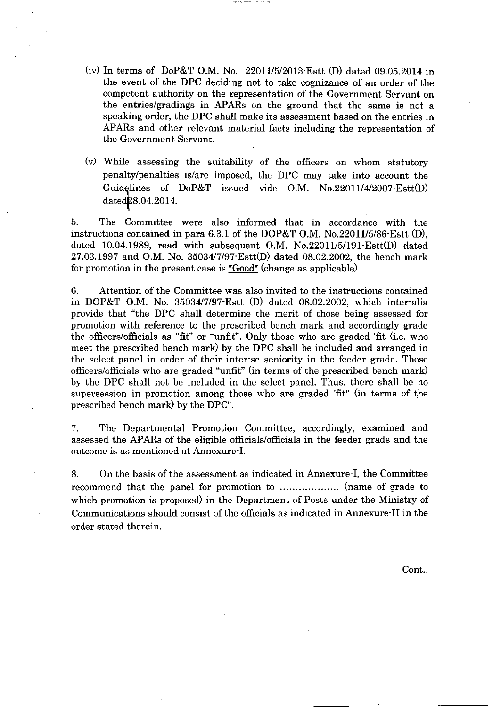- (iv) In terms of DoP&T O.M. No.  $22011/5/2013$ -Estt (D) dated 09.05.2014 in the event of the DPC deciding not to take cognizance of an order of the competent authority on the representation of the Government Servant on the entries/gradings in APARs on the ground that the same is not <sup>a</sup> speaking order, the DPC shall make its assessment based on the entries in APARs and other relevant material facts including the representation of the Government Servant.
- $(v)$  While assessing the suitability of the officers on whom statutory penalty/penalties is/are imposed, the DPC may take into account the Guidelines of DoP&T issued vide O.M. No.22011/4/2007 Estt(D) dated<sub>28.04.2014</sub>.

5. The Committee were also informed that in accordance with the instructions contained in para 6.3.1 of the DOP&T O.M. No.22011/5/86-Estt (D), dated 10.04.1989, read with subsequent O.M. No.22011/5/191-Estt(D) dated 27.03.1997 and O.M. No. 35034/7/97-Estt(D) dated 08.02.2002, the bench mark for promotion in the present case is " $Good$ " (change as applicable).

6. Attention of the Committee was also invited to the instructions contained in DOP&T O.M. No. 35034/7/97 Estt (D) dated 08.02.2002, which inter-alia provide that "the DPC shall determine the merit of those being assessed for promotion with reference to the prescribed bench mark and accordingly grade the officers/officials as "fit" or "unfit". Only those who are graded 'fit (i.e. who meet the prescribed bench mark) by the DPC shall be included and arranged in the select panel in order of their inter-se seniority in the feeder grade. Those officers/officials who are graded "unfit" (in terms of the prescribed bench mark) by the DPC shall not be included in the select panel. Thus, there shall be no supersession in promotion among those who are graded 'fit" (in terms of the prescribed bench mark) by the DPC".

7. The Departmental Promotion Committee, accordingly, examined and assessed the APARs of the eligible officials/officials in the feeder grade and the outcome is as mentioned at Annexure-I.

8. On the basis of the assessment as indicated in Annexure-I, the Committee recommend that the panel for promotion to (name of grade to which promotion is proposed) in the Department of Posts under the Ministry of Communications should consist of the officials as indicated in Annexure-II in the order stated therein.

Cont..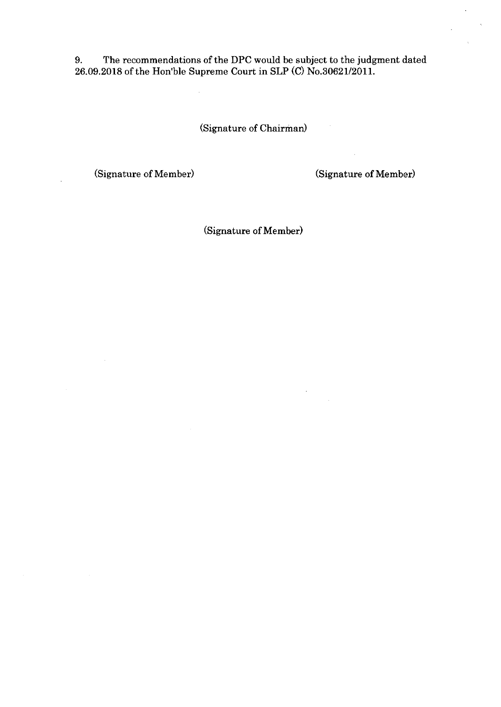9. The recommendations of the DPC would be subject to the judgment dated 26.09.2018 of the Hon'ble Supreme Court in SLP (C) No.30621/2011.

(Signature of Chairman)

(Signature of Member) (Signature of Member)

 $\bar{\gamma}$ 

 $\sim$ 

 $\sim$   $\sim$ 

(Signature of Member)

 $\ddot{\phantom{a}}$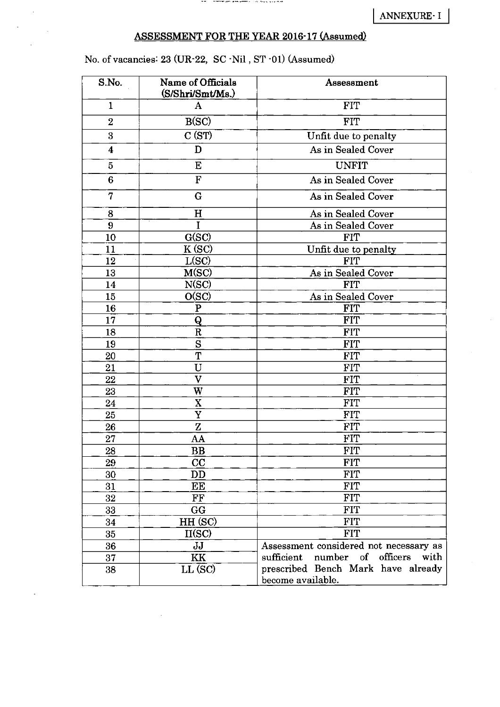# ASSESSMENT FOR THE YEAR 2016-17 (Assumed)

# No. of vacancies: 23 (UR-22, SC -Nil , ST -01) (Assumed)

 $\ddot{\phantom{a}}$ 

| S.No.                   | Name of Officials<br>(S/Shri/Smt/Ms.) | Assessment                                              |
|-------------------------|---------------------------------------|---------------------------------------------------------|
| 1                       | A                                     | <b>FIT</b>                                              |
| $\overline{2}$          | B(SC)                                 | <b>FIT</b>                                              |
| 3                       | C(ST)                                 | Unfit due to penalty                                    |
| $\overline{\mathbf{4}}$ | D                                     | As in Sealed Cover                                      |
| 5                       | E                                     | <b>UNFIT</b>                                            |
| $6\phantom{.}6$         | $\mathbf{F}$                          | As in Sealed Cover                                      |
| $\overline{7}$          | G                                     | As in Sealed Cover                                      |
| 8                       | H                                     | As in Sealed Cover                                      |
| 9                       | $\mathbf I$                           | As in Sealed Cover                                      |
| 10                      | G(SC)                                 | <b>FIT</b>                                              |
| 11                      | K (SC)                                | Unfit due to penalty                                    |
| 12                      | L(SC)                                 | <b>FIT</b>                                              |
| 13                      | M(SC)                                 | As in Sealed Cover                                      |
| 14                      | N(SC)                                 | <b>FIT</b>                                              |
| 15                      | O(SC)                                 | As in Sealed Cover                                      |
| 16                      | $\mathbf P$                           | <b>FIT</b>                                              |
| 17                      | $\overline{\mathbf{Q}}$               | <b>FIT</b>                                              |
| 18                      | ${\bf R}$                             | <b>FIT</b>                                              |
| 19                      | S                                     | <b>FIT</b>                                              |
| 20                      | $\overline{\text{T}}$                 | <b>FIT</b>                                              |
| 21                      | U                                     | FIT                                                     |
| 22                      | $\overline{\mathbf{V}}$               | <b>FIT</b>                                              |
| 23                      | W                                     | <b>FIT</b>                                              |
| 24                      | $\mathbf X$                           | <b>FIT</b>                                              |
| 25                      | Y                                     | <b>FIT</b>                                              |
| 26                      | $\mathbf z$                           | <b>FIT</b>                                              |
| 27                      | AA                                    | FIT                                                     |
| 28                      | $\overline{\mathbf{B}}\mathbf{B}$     | <b>FIT</b>                                              |
| 29                      | CC                                    | <b>FIT</b>                                              |
| 30                      | DD                                    | <b>FIT</b>                                              |
| 31                      | E E                                   | <b>FIT</b>                                              |
| 32                      | FF                                    | <b>FIT</b>                                              |
| 33                      | <b>GG</b>                             | <b>FIT</b>                                              |
| 34                      | HH (SC)                               | <b>FIT</b>                                              |
| 35                      | II(SC)                                | <b>FIT</b>                                              |
| 36                      | JJ                                    | Assessment considered not necessary as                  |
| 37                      | KK                                    | sufficient number of officers<br>with                   |
| 38                      | LL (SC)                               | prescribed Bench Mark have already<br>become available. |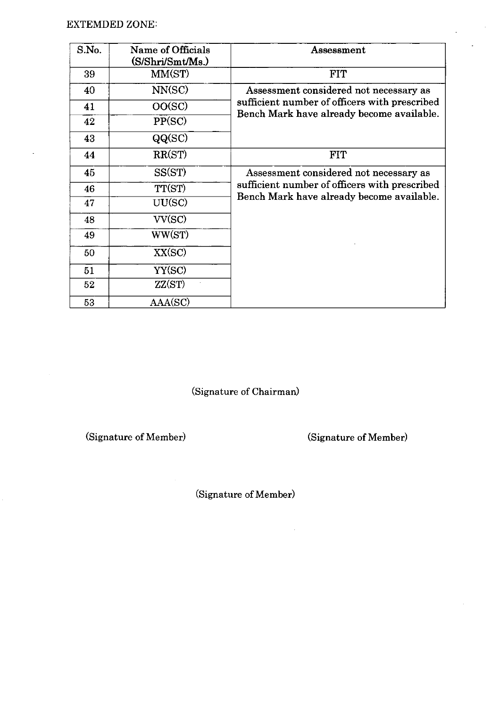$\bar{\mathcal{A}}$ 

| S.No. | Name of Officials<br>(S/Shri/Smt/Ms.) | Assessment                                                                                 |
|-------|---------------------------------------|--------------------------------------------------------------------------------------------|
| 39    | MM(ST)                                | <b>FIT</b>                                                                                 |
| 40    | NN(SC)                                | Assessment considered not necessary as                                                     |
| 41    | OO(SC)                                | sufficient number of officers with prescribed<br>Bench Mark have already become available. |
| 42    | PP(SC)                                |                                                                                            |
| 43    | QQ(SC)                                |                                                                                            |
| 44    | RR(ST)                                | <b>FIT</b>                                                                                 |
| 45    | SS(ST)                                | Assessment considered not necessary as                                                     |
| 46    | TT(ST)                                | sufficient number of officers with prescribed<br>Bench Mark have already become available. |
| 47    | UU(SC)                                |                                                                                            |
| 48    | VV(SC)                                |                                                                                            |
| 49    | WW(ST)                                |                                                                                            |
| 50    | XX(SC)                                |                                                                                            |
| 51    | YY(SC)                                |                                                                                            |
| 52    | ZZ(ST)                                |                                                                                            |
| 53    | AAA(SC)                               |                                                                                            |

(Signature of Chairman)

(Signature of Member)

(Signature of Member)

 $\hat{\mathcal{L}}$ 

 $\overline{\phantom{a}}$ 

(Signature of Member)

 $\hat{\mathcal{A}}$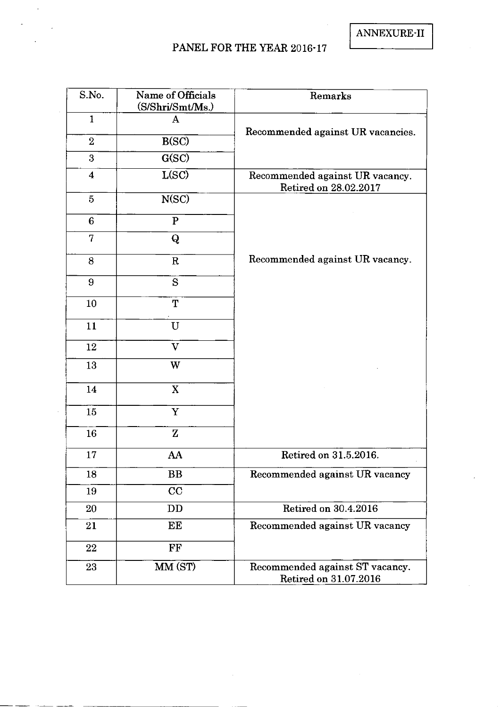ANNEXURE-II

# PANEL FOR THE YEAR 2016-17

 $\ddot{\phantom{a}}$ 

| S.No.                   | Name of Officials<br>(S/Shri/Smt/Ms.) | Remarks                                                  |
|-------------------------|---------------------------------------|----------------------------------------------------------|
| $\mathbf{1}$            | $\mathbf{A}$                          | Recommended against UR vacancies.                        |
| $\overline{2}$          | B(SC)                                 |                                                          |
| 3                       | G(SC)                                 |                                                          |
| $\overline{\mathbf{4}}$ | L(SC)                                 | Recommended against UR vacancy.<br>Retired on 28.02.2017 |
| $\overline{5}$          | N(SC)                                 |                                                          |
| $6\phantom{1}$          | $\mathbf{P}$                          |                                                          |
| 7                       | Q                                     |                                                          |
| 8                       | $\mathbf R$                           | Recommended against UR vacancy.                          |
| 9                       | S                                     |                                                          |
| 10                      | T                                     |                                                          |
| 11                      | $\mathbf U$                           |                                                          |
| 12                      | $\overline{\mathbf{V}}$               |                                                          |
| 13                      | W                                     |                                                          |
| 14                      | $\mathbf X$                           |                                                          |
| 15                      | $\mathbf Y$                           |                                                          |
| 16                      | $\mathbf{Z}$                          |                                                          |
| 17                      | AA                                    | Retired on 31.5.2016.                                    |
| 18                      | <b>BB</b>                             | Recommended against UR vacancy                           |
| 19                      | CC                                    |                                                          |
| 20                      | DD                                    | Retired on 30.4.2016                                     |
| 21                      | EE                                    | Recommended against UR vacancy                           |
| 22                      | FF                                    |                                                          |
| 23                      | MM (ST)                               | Recommended against ST vacancy.<br>Retired on 31.07.2016 |